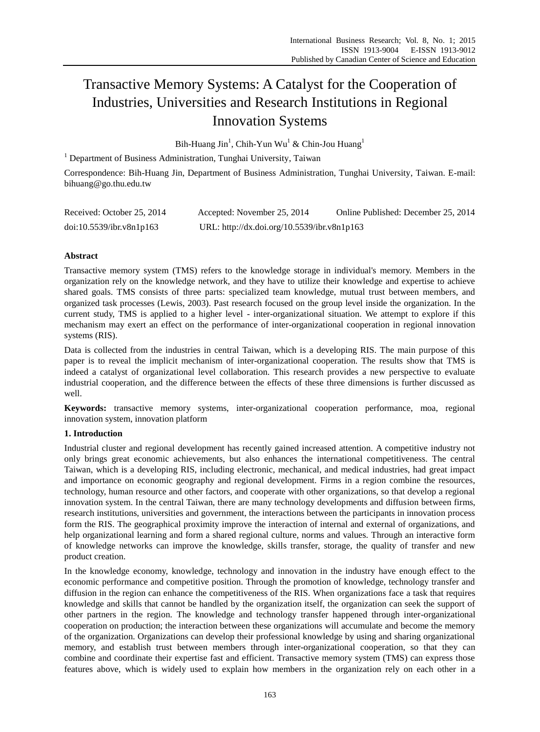# Transactive Memory Systems: A Catalyst for the Cooperation of Industries, Universities and Research Institutions in Regional Innovation Systems

Bih-Huang Jin<sup>1</sup>, Chih-Yun Wu<sup>1</sup> & Chin-Jou Huang<sup>1</sup>

<sup>1</sup> Department of Business Administration, Tunghai University, Taiwan

Correspondence: Bih-Huang Jin, Department of Business Administration, Tunghai University, Taiwan. E-mail: bihuang@go.thu.edu.tw

| Received: October 25, 2014 | Accepted: November 25, 2014                 | Online Published: December 25, 2014 |
|----------------------------|---------------------------------------------|-------------------------------------|
| doi:10.5539/ibr.v8n1p163   | URL: http://dx.doi.org/10.5539/ibr.v8n1p163 |                                     |

# **Abstract**

Transactive memory system (TMS) refers to the knowledge storage in individual's memory. Members in the organization rely on the knowledge network, and they have to utilize their knowledge and expertise to achieve shared goals. TMS consists of three parts: specialized team knowledge, mutual trust between members, and organized task processes (Lewis, 2003). Past research focused on the group level inside the organization. In the current study, TMS is applied to a higher level - inter-organizational situation. We attempt to explore if this mechanism may exert an effect on the performance of inter-organizational cooperation in regional innovation systems (RIS).

Data is collected from the industries in central Taiwan, which is a developing RIS. The main purpose of this paper is to reveal the implicit mechanism of inter-organizational cooperation. The results show that TMS is indeed a catalyst of organizational level collaboration. This research provides a new perspective to evaluate industrial cooperation, and the difference between the effects of these three dimensions is further discussed as well.

**Keywords:** transactive memory systems, inter-organizational cooperation performance, moa, regional innovation system, innovation platform

# **1. Introduction**

Industrial cluster and regional development has recently gained increased attention. A competitive industry not only brings great economic achievements, but also enhances the international competitiveness. The central Taiwan, which is a developing RIS, including electronic, mechanical, and medical industries, had great impact and importance on economic geography and regional development. Firms in a region combine the resources, technology, human resource and other factors, and cooperate with other organizations, so that develop a regional innovation system. In the central Taiwan, there are many technology developments and diffusion between firms, research institutions, universities and government, the interactions between the participants in innovation process form the RIS. The geographical proximity improve the interaction of internal and external of organizations, and help organizational learning and form a shared regional culture, norms and values. Through an interactive form of knowledge networks can improve the knowledge, skills transfer, storage, the quality of transfer and new product creation.

In the knowledge economy, knowledge, technology and innovation in the industry have enough effect to the economic performance and competitive position. Through the promotion of knowledge, technology transfer and diffusion in the region can enhance the competitiveness of the RIS. When organizations face a task that requires knowledge and skills that cannot be handled by the organization itself, the organization can seek the support of other partners in the region. The knowledge and technology transfer happened through inter-organizational cooperation on production; the interaction between these organizations will accumulate and become the memory of the organization. Organizations can develop their professional knowledge by using and sharing organizational memory, and establish trust between members through inter-organizational cooperation, so that they can combine and coordinate their expertise fast and efficient. Transactive memory system (TMS) can express those features above, which is widely used to explain how members in the organization rely on each other in a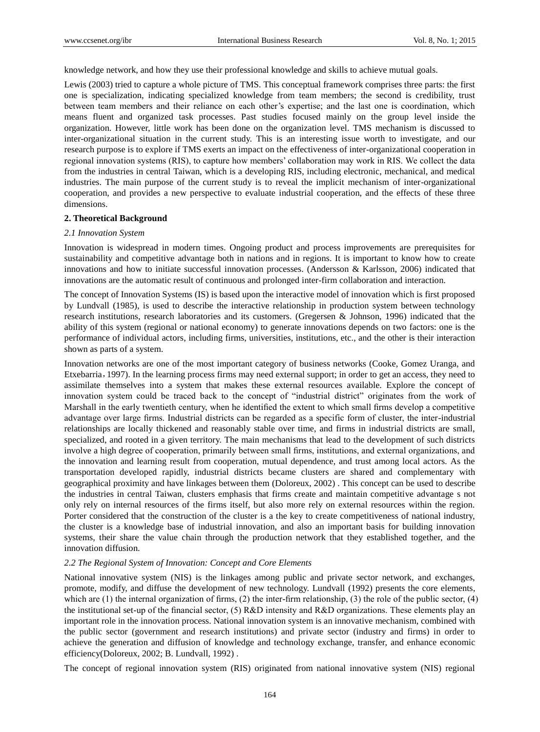knowledge network, and how they use their professional knowledge and skills to achieve mutual goals.

Lewis (2003) tried to capture a whole picture of TMS. This conceptual framework comprises three parts: the first one is specialization, indicating specialized knowledge from team members; the second is credibility, trust between team members and their reliance on each other's expertise; and the last one is coordination, which means fluent and organized task processes. Past studies focused mainly on the group level inside the organization. However, little work has been done on the organization level. TMS mechanism is discussed to inter-organizational situation in the current study. This is an interesting issue worth to investigate, and our research purpose is to explore if TMS exerts an impact on the effectiveness of inter-organizational cooperation in regional innovation systems (RIS), to capture how members' collaboration may work in RIS. We collect the data from the industries in central Taiwan, which is a developing RIS, including electronic, mechanical, and medical industries. The main purpose of the current study is to reveal the implicit mechanism of inter-organizational cooperation, and provides a new perspective to evaluate industrial cooperation, and the effects of these three dimensions.

#### **2. Theoretical Background**

#### *2.1 Innovation System*

Innovation is widespread in modern times. Ongoing product and process improvements are prerequisites for sustainability and competitive advantage both in nations and in regions. It is important to know how to create innovations and how to initiate successful innovation processes. (Andersson & Karlsson, 2006) indicated that innovations are the automatic result of continuous and prolonged inter-firm collaboration and interaction.

The concept of Innovation Systems (IS) is based upon the interactive model of innovation which is first proposed by Lundvall (1985), is used to describe the interactive relationship in production system between technology research institutions, research laboratories and its customers. (Gregersen & Johnson, 1996) indicated that the ability of this system (regional or national economy) to generate innovations depends on two factors: one is the performance of individual actors, including firms, universities, institutions, etc., and the other is their interaction shown as parts of a system.

Innovation networks are one of the most important category of business networks (Cooke, Gomez Uranga, and Etxebarria,1997). In the learning process firms may need external support; in order to get an access, they need to assimilate themselves into a system that makes these external resources available. Explore the concept of innovation system could be traced back to the concept of "industrial district" originates from the work of Marshall in the early twentieth century, when he identified the extent to which small firms develop a competitive advantage over large firms. Industrial districts can be regarded as a specific form of cluster, the inter-industrial relationships are locally thickened and reasonably stable over time, and firms in industrial districts are small, specialized, and rooted in a given territory. The main mechanisms that lead to the development of such districts involve a high degree of cooperation, primarily between small firms, institutions, and external organizations, and the innovation and learning result from cooperation, mutual dependence, and trust among local actors. As the transportation developed rapidly, industrial districts became clusters are shared and complementary with geographical proximity and have linkages between them (Doloreux, 2002) . This concept can be used to describe the industries in central Taiwan, clusters emphasis that firms create and maintain competitive advantage s not only rely on internal resources of the firms itself, but also more rely on external resources within the region. Porter considered that the construction of the cluster is a the key to create competitiveness of national industry, the cluster is a knowledge base of industrial innovation, and also an important basis for building innovation systems, their share the value chain through the production network that they established together, and the innovation diffusion.

### *2.2 The Regional System of Innovation: Concept and Core Elements*

National innovative system (NIS) is the linkages among public and private sector network, and exchanges, promote, modify, and diffuse the development of new technology. Lundvall (1992) presents the core elements, which are (1) the internal organization of firms, (2) the inter-firm relationship, (3) the role of the public sector, (4) the institutional set-up of the financial sector,  $(5)$  R&D intensity and R&D organizations. These elements play an important role in the innovation process. National innovation system is an innovative mechanism, combined with the public sector (government and research institutions) and private sector (industry and firms) in order to achieve the generation and diffusion of knowledge and technology exchange, transfer, and enhance economic efficiency(Doloreux, 2002; B. Lundvall, 1992) .

The concept of regional innovation system (RIS) originated from national innovative system (NIS) regional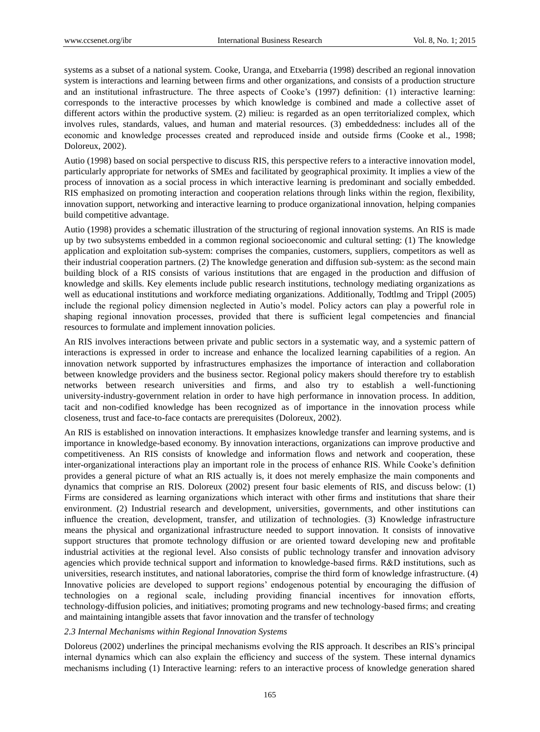systems as a subset of a national system. Cooke, Uranga, and Etxebarria (1998) described an regional innovation system is interactions and learning between firms and other organizations, and consists of a production structure and an institutional infrastructure. The three aspects of Cooke's (1997) definition: (1) interactive learning: corresponds to the interactive processes by which knowledge is combined and made a collective asset of different actors within the productive system. (2) milieu: is regarded as an open territorialized complex, which involves rules, standards, values, and human and material resources. (3) embeddedness: includes all of the economic and knowledge processes created and reproduced inside and outside firms (Cooke et al., 1998; Doloreux, 2002).

Autio (1998) based on social perspective to discuss RIS, this perspective refers to a interactive innovation model, particularly appropriate for networks of SMEs and facilitated by geographical proximity. It implies a view of the process of innovation as a social process in which interactive learning is predominant and socially embedded. RIS emphasized on promoting interaction and cooperation relations through links within the region, flexibility, innovation support, networking and interactive learning to produce organizational innovation, helping companies build competitive advantage.

Autio (1998) provides a schematic illustration of the structuring of regional innovation systems. An RIS is made up by two subsystems embedded in a common regional socioeconomic and cultural setting: (1) The knowledge application and exploitation sub-system: comprises the companies, customers, suppliers, competitors as well as their industrial cooperation partners. (2) The knowledge generation and diffusion sub-system: as the second main building block of a RIS consists of various institutions that are engaged in the production and diffusion of knowledge and skills. Key elements include public research institutions, technology mediating organizations as well as educational institutions and workforce mediating organizations. Additionally, Todtlmg and Trippl (2005) include the regional policy dimension neglected in Autio's model. Policy actors can play a powerful role in shaping regional innovation processes, provided that there is sufficient legal competencies and financial resources to formulate and implement innovation policies.

An RIS involves interactions between private and public sectors in a systematic way, and a systemic pattern of interactions is expressed in order to increase and enhance the localized learning capabilities of a region. An innovation network supported by infrastructures emphasizes the importance of interaction and collaboration between knowledge providers and the business sector. Regional policy makers should therefore try to establish networks between research universities and firms, and also try to establish a well-functioning university-industry-government relation in order to have high performance in innovation process. In addition, tacit and non-codified knowledge has been recognized as of importance in the innovation process while closeness, trust and face-to-face contacts are prerequisites (Doloreux, 2002).

An RIS is established on innovation interactions. It emphasizes knowledge transfer and learning systems, and is importance in knowledge-based economy. By innovation interactions, organizations can improve productive and competitiveness. An RIS consists of knowledge and information flows and network and cooperation, these inter-organizational interactions play an important role in the process of enhance RIS. While Cooke's definition provides a general picture of what an RIS actually is, it does not merely emphasize the main components and dynamics that comprise an RIS. Doloreux (2002) present four basic elements of RIS, and discuss below: (1) Firms are considered as learning organizations which interact with other firms and institutions that share their environment. (2) Industrial research and development, universities, governments, and other institutions can influence the creation, development, transfer, and utilization of technologies. (3) Knowledge infrastructure means the physical and organizational infrastructure needed to support innovation. It consists of innovative support structures that promote technology diffusion or are oriented toward developing new and profitable industrial activities at the regional level. Also consists of public technology transfer and innovation advisory agencies which provide technical support and information to knowledge-based firms. R&D institutions, such as universities, research institutes, and national laboratories, comprise the third form of knowledge infrastructure. (4) Innovative policies are developed to support regions' endogenous potential by encouraging the diffusion of technologies on a regional scale, including providing financial incentives for innovation efforts, technology-diffusion policies, and initiatives; promoting programs and new technology-based firms; and creating and maintaining intangible assets that favor innovation and the transfer of technology

### *2.3 Internal Mechanisms within Regional Innovation Systems*

Doloreus (2002) underlines the principal mechanisms evolving the RIS approach. It describes an RIS's principal internal dynamics which can also explain the efficiency and success of the system. These internal dynamics mechanisms including (1) Interactive learning: refers to an interactive process of knowledge generation shared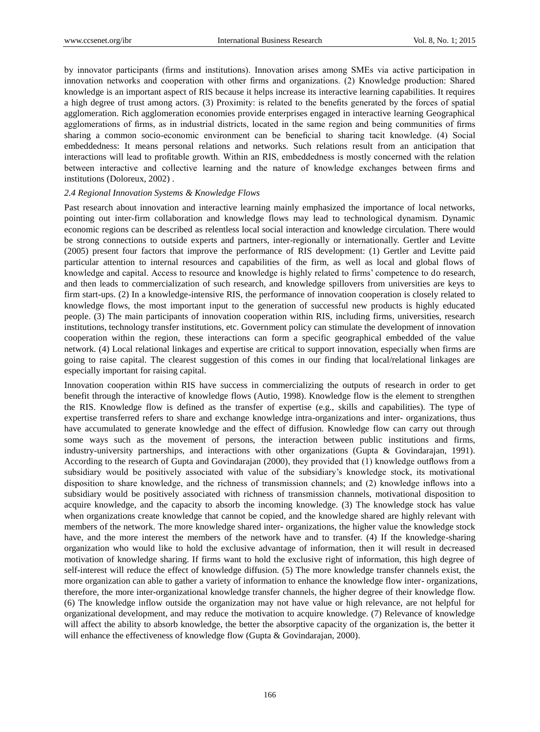by innovator participants (firms and institutions). Innovation arises among SMEs via active participation in innovation networks and cooperation with other firms and organizations. (2) Knowledge production: Shared knowledge is an important aspect of RIS because it helps increase its interactive learning capabilities. It requires a high degree of trust among actors. (3) Proximity: is related to the benefits generated by the forces of spatial agglomeration. Rich agglomeration economies provide enterprises engaged in interactive learning Geographical agglomerations of firms, as in industrial districts, located in the same region and being communities of firms sharing a common socio-economic environment can be beneficial to sharing tacit knowledge. (4) Social embeddedness: It means personal relations and networks. Such relations result from an anticipation that interactions will lead to profitable growth. Within an RIS, embeddedness is mostly concerned with the relation between interactive and collective learning and the nature of knowledge exchanges between firms and institutions (Doloreux, 2002) .

## *2.4 Regional Innovation Systems & Knowledge Flows*

Past research about innovation and interactive learning mainly emphasized the importance of local networks, pointing out inter-firm collaboration and knowledge flows may lead to technological dynamism. Dynamic economic regions can be described as relentless local social interaction and knowledge circulation. There would be strong connections to outside experts and partners, inter-regionally or internationally. Gertler and Levitte (2005) present four factors that improve the performance of RIS development: (1) Gertler and Levitte paid particular attention to internal resources and capabilities of the firm, as well as local and global flows of knowledge and capital. Access to resource and knowledge is highly related to firms' competence to do research, and then leads to commercialization of such research, and knowledge spillovers from universities are keys to firm start-ups. (2) In a knowledge-intensive RIS, the performance of innovation cooperation is closely related to knowledge flows, the most important input to the generation of successful new products is highly educated people. (3) The main participants of innovation cooperation within RIS, including firms, universities, research institutions, technology transfer institutions, etc. Government policy can stimulate the development of innovation cooperation within the region, these interactions can form a specific geographical embedded of the value network. (4) Local relational linkages and expertise are critical to support innovation, especially when firms are going to raise capital. The clearest suggestion of this comes in our finding that local/relational linkages are especially important for raising capital.

Innovation cooperation within RIS have success in commercializing the outputs of research in order to get benefit through the interactive of knowledge flows (Autio, 1998). Knowledge flow is the element to strengthen the RIS. Knowledge flow is defined as the transfer of expertise (e.g., skills and capabilities). The type of expertise transferred refers to share and exchange knowledge intra-organizations and inter- organizations, thus have accumulated to generate knowledge and the effect of diffusion. Knowledge flow can carry out through some ways such as the movement of persons, the interaction between public institutions and firms, industry-university partnerships, and interactions with other organizations (Gupta & Govindarajan, 1991). According to the research of Gupta and Govindarajan (2000), they provided that (1) knowledge outflows from a subsidiary would be positively associated with value of the subsidiary's knowledge stock, its motivational disposition to share knowledge, and the richness of transmission channels; and (2) knowledge inflows into a subsidiary would be positively associated with richness of transmission channels, motivational disposition to acquire knowledge, and the capacity to absorb the incoming knowledge. (3) The knowledge stock has value when organizations create knowledge that cannot be copied, and the knowledge shared are highly relevant with members of the network. The more knowledge shared inter- organizations, the higher value the knowledge stock have, and the more interest the members of the network have and to transfer. (4) If the knowledge-sharing organization who would like to hold the exclusive advantage of information, then it will result in decreased motivation of knowledge sharing. If firms want to hold the exclusive right of information, this high degree of self-interest will reduce the effect of knowledge diffusion. (5) The more knowledge transfer channels exist, the more organization can able to gather a variety of information to enhance the knowledge flow inter- organizations, therefore, the more inter-organizational knowledge transfer channels, the higher degree of their knowledge flow. (6) The knowledge inflow outside the organization may not have value or high relevance, are not helpful for organizational development, and may reduce the motivation to acquire knowledge. (7) Relevance of knowledge will affect the ability to absorb knowledge, the better the absorptive capacity of the organization is, the better it will enhance the effectiveness of knowledge flow (Gupta & Govindarajan, 2000).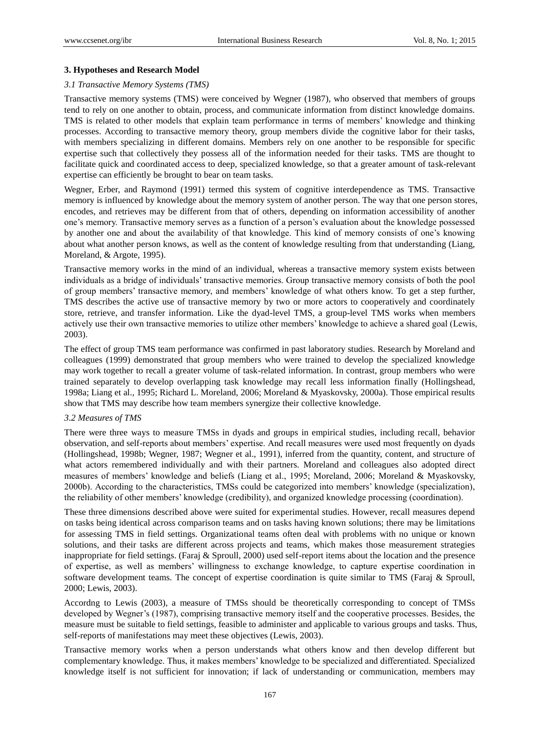## **3. Hypotheses and Research Model**

## *3.1 Transactive Memory Systems (TMS)*

Transactive memory systems (TMS) were conceived by Wegner (1987), who observed that members of groups tend to rely on one another to obtain, process, and communicate information from distinct knowledge domains. TMS is related to other models that explain team performance in terms of members' knowledge and thinking processes. According to transactive memory theory, group members divide the cognitive labor for their tasks, with members specializing in different domains. Members rely on one another to be responsible for specific expertise such that collectively they possess all of the information needed for their tasks. TMS are thought to facilitate quick and coordinated access to deep, specialized knowledge, so that a greater amount of task-relevant expertise can efficiently be brought to bear on team tasks.

Wegner, Erber, and Raymond (1991) termed this system of cognitive interdependence as TMS. Transactive memory is influenced by knowledge about the memory system of another person. The way that one person stores, encodes, and retrieves may be different from that of others, depending on information accessibility of another one's memory. Transactive memory serves as a function of a person's evaluation about the knowledge possessed by another one and about the availability of that knowledge. This kind of memory consists of one's knowing about what another person knows, as well as the content of knowledge resulting from that understanding (Liang, Moreland, & Argote, 1995).

Transactive memory works in the mind of an individual, whereas a transactive memory system exists between individuals as a bridge of individuals' transactive memories. Group transactive memory consists of both the pool of group members' transactive memory, and members' knowledge of what others know. To get a step further, TMS describes the active use of transactive memory by two or more actors to cooperatively and coordinately store, retrieve, and transfer information. Like the dyad-level TMS, a group-level TMS works when members actively use their own transactive memories to utilize other members' knowledge to achieve a shared goal (Lewis, 2003).

The effect of group TMS team performance was confirmed in past laboratory studies. Research by Moreland and colleagues (1999) demonstrated that group members who were trained to develop the specialized knowledge may work together to recall a greater volume of task-related information. In contrast, group members who were trained separately to develop overlapping task knowledge may recall less information finally (Hollingshead, 1998a; Liang et al., 1995; Richard L. Moreland, 2006; Moreland & Myaskovsky, 2000a). Those empirical results show that TMS may describe how team members synergize their collective knowledge.

## *3.2 Measures of TMS*

There were three ways to measure TMSs in dyads and groups in empirical studies, including recall, behavior observation, and self-reports about members' expertise. And recall measures were used most frequently on dyads (Hollingshead, 1998b; Wegner, 1987; Wegner et al., 1991), inferred from the quantity, content, and structure of what actors remembered individually and with their partners. Moreland and colleagues also adopted direct measures of members' knowledge and beliefs (Liang et al., 1995; Moreland, 2006; Moreland & Myaskovsky, 2000b). According to the characteristics, TMSs could be categorized into members' knowledge (specialization), the reliability of other members' knowledge (credibility), and organized knowledge processing (coordination).

These three dimensions described above were suited for experimental studies. However, recall measures depend on tasks being identical across comparison teams and on tasks having known solutions; there may be limitations for assessing TMS in field settings. Organizational teams often deal with problems with no unique or known solutions, and their tasks are different across projects and teams, which makes those measurement strategies inappropriate for field settings. (Faraj & Sproull, 2000) used self-report items about the location and the presence of expertise, as well as members' willingness to exchange knowledge, to capture expertise coordination in software development teams. The concept of expertise coordination is quite similar to TMS (Faraj & Sproull, 2000; Lewis, 2003).

Accordng to Lewis (2003), a measure of TMSs should be theoretically corresponding to concept of TMSs developed by Wegner's (1987), comprising transactive memory itself and the cooperative processes. Besides, the measure must be suitable to field settings, feasible to administer and applicable to various groups and tasks. Thus, self-reports of manifestations may meet these objectives (Lewis, 2003).

Transactive memory works when a person understands what others know and then develop different but complementary knowledge. Thus, it makes members' knowledge to be specialized and differentiated. Specialized knowledge itself is not sufficient for innovation; if lack of understanding or communication, members may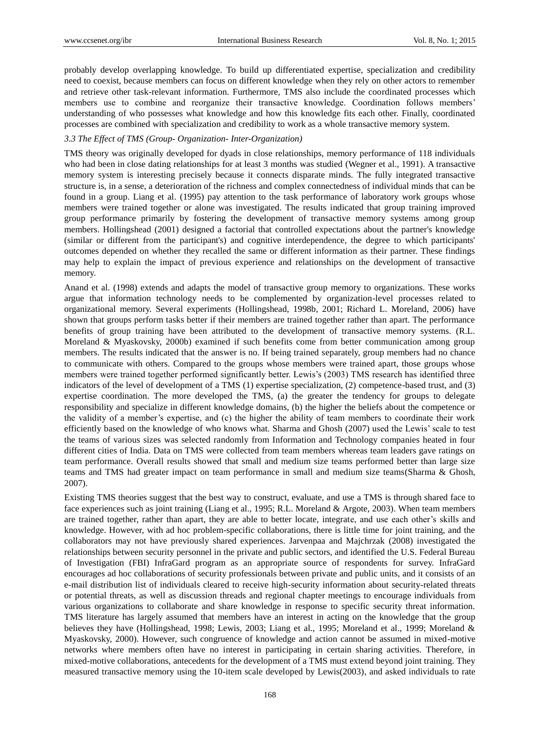probably develop overlapping knowledge. To build up differentiated expertise, specialization and credibility need to coexist, because members can focus on different knowledge when they rely on other actors to remember and retrieve other task-relevant information. Furthermore, TMS also include the coordinated processes which members use to combine and reorganize their transactive knowledge. Coordination follows members' understanding of who possesses what knowledge and how this knowledge fits each other. Finally, coordinated processes are combined with specialization and credibility to work as a whole transactive memory system.

## *3.3 The Effect of TMS (Group- Organization- Inter-Organization)*

TMS theory was originally developed for dyads in close relationships, memory performance of 118 individuals who had been in close dating relationships for at least 3 months was studied (Wegner et al., 1991). A transactive memory system is interesting precisely because it connects disparate minds. The fully integrated transactive structure is, in a sense, a deterioration of the richness and complex connectedness of individual minds that can be found in a group. Liang et al. (1995) pay attention to the task performance of laboratory work groups whose members were trained together or alone was investigated. The results indicated that group training improved group performance primarily by fostering the development of transactive memory systems among group members. Hollingshead (2001) designed a factorial that controlled expectations about the partner's knowledge (similar or different from the participant's) and cognitive interdependence, the degree to which participants' outcomes depended on whether they recalled the same or different information as their partner. These findings may help to explain the impact of previous experience and relationships on the development of transactive memory.

Anand et al. (1998) extends and adapts the model of transactive group memory to organizations. These works argue that information technology needs to be complemented by organization-level processes related to organizational memory. Several experiments (Hollingshead, 1998b, 2001; Richard L. Moreland, 2006) have shown that groups perform tasks better if their members are trained together rather than apart. The performance benefits of group training have been attributed to the development of transactive memory systems. (R.L. Moreland & Myaskovsky, 2000b) examined if such benefits come from better communication among group members. The results indicated that the answer is no. If being trained separately, group members had no chance to communicate with others. Compared to the groups whose members were trained apart, those groups whose members were trained together performed significantly better. Lewis's (2003) TMS research has identified three indicators of the level of development of a TMS (1) expertise specialization, (2) competence-based trust, and (3) expertise coordination. The more developed the TMS, (a) the greater the tendency for groups to delegate responsibility and specialize in different knowledge domains, (b) the higher the beliefs about the competence or the validity of a member's expertise, and (c) the higher the ability of team members to coordinate their work efficiently based on the knowledge of who knows what. Sharma and Ghosh (2007) used the Lewis' scale to test the teams of various sizes was selected randomly from Information and Technology companies heated in four different cities of India. Data on TMS were collected from team members whereas team leaders gave ratings on team performance. Overall results showed that small and medium size teams performed better than large size teams and TMS had greater impact on team performance in small and medium size teams(Sharma & Ghosh, 2007).

Existing TMS theories suggest that the best way to construct, evaluate, and use a TMS is through shared face to face experiences such as joint training (Liang et al., 1995; R.L. Moreland & Argote, 2003). When team members are trained together, rather than apart, they are able to better locate, integrate, and use each other's skills and knowledge. However, with ad hoc problem-specific collaborations, there is little time for joint training, and the collaborators may not have previously shared experiences. Jarvenpaa and Majchrzak (2008) investigated the relationships between security personnel in the private and public sectors, and identified the U.S. Federal Bureau of Investigation (FBI) InfraGard program as an appropriate source of respondents for survey. InfraGard encourages ad hoc collaborations of security professionals between private and public units, and it consists of an e-mail distribution list of individuals cleared to receive high-security information about security-related threats or potential threats, as well as discussion threads and regional chapter meetings to encourage individuals from various organizations to collaborate and share knowledge in response to specific security threat information. TMS literature has largely assumed that members have an interest in acting on the knowledge that the group believes they have (Hollingshead, 1998; Lewis, 2003; Liang et al., 1995; Moreland et al., 1999; Moreland & Myaskovsky, 2000). However, such congruence of knowledge and action cannot be assumed in mixed-motive networks where members often have no interest in participating in certain sharing activities. Therefore, in mixed-motive collaborations, antecedents for the development of a TMS must extend beyond joint training. They measured transactive memory using the 10-item scale developed by Lewis(2003), and asked individuals to rate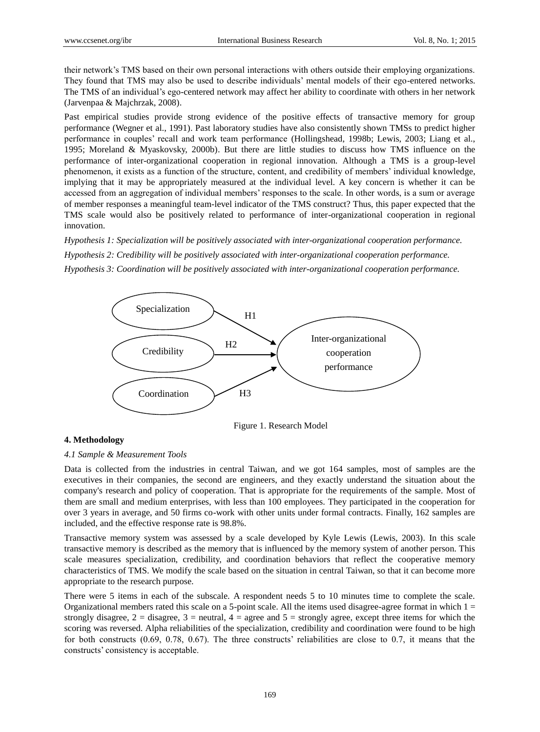their network's TMS based on their own personal interactions with others outside their employing organizations. They found that TMS may also be used to describe individuals' mental models of their ego-entered networks. The TMS of an individual's ego-centered network may affect her ability to coordinate with others in her network (Jarvenpaa & Majchrzak, 2008).

Past empirical studies provide strong evidence of the positive effects of transactive memory for group performance (Wegner et al., 1991). Past laboratory studies have also consistently shown TMSs to predict higher performance in couples' recall and work team performance (Hollingshead, 1998b; Lewis, 2003; Liang et al., 1995; Moreland & Myaskovsky, 2000b). But there are little studies to discuss how TMS influence on the performance of inter-organizational cooperation in regional innovation. Although a TMS is a group-level phenomenon, it exists as a function of the structure, content, and credibility of members' individual knowledge, implying that it may be appropriately measured at the individual level. A key concern is whether it can be accessed from an aggregation of individual members' responses to the scale. In other words, is a sum or average of member responses a meaningful team-level indicator of the TMS construct? Thus, this paper expected that the TMS scale would also be positively related to performance of inter-organizational cooperation in regional innovation.

*Hypothesis 1: Specialization will be positively associated with inter-organizational cooperation performance.*

*Hypothesis 2: Credibility will be positively associated with inter-organizational cooperation performance.*

*Hypothesis 3: Coordination will be positively associated with inter-organizational cooperation performance.*



Figure 1. Research Model

# **4. Methodology**

## *4.1 Sample & Measurement Tools*

Data is collected from the industries in central Taiwan, and we got 164 samples, most of samples are the executives in their companies, the second are engineers, and they exactly understand the situation about the company's research and policy of cooperation. That is appropriate for the requirements of the sample. Most of them are small and medium enterprises, with less than 100 employees. They participated in the cooperation for over 3 years in average, and 50 firms co-work with other units under formal contracts. Finally, 162 samples are included, and the effective response rate is 98.8%.

Transactive memory system was assessed by a scale developed by Kyle Lewis (Lewis, 2003). In this scale transactive memory is described as the memory that is influenced by the memory system of another person. This scale measures specialization, credibility, and coordination behaviors that reflect the cooperative memory characteristics of TMS. We modify the scale based on the situation in central Taiwan, so that it can become more appropriate to the research purpose.

There were 5 items in each of the subscale. A respondent needs 5 to 10 minutes time to complete the scale. Organizational members rated this scale on a 5-point scale. All the items used disagree-agree format in which  $1 =$ strongly disagree,  $2 =$  disagree,  $3 =$  neutral,  $4 =$  agree and  $5 =$  strongly agree, except three items for which the scoring was reversed. Alpha reliabilities of the specialization, credibility and coordination were found to be high for both constructs (0.69, 0.78, 0.67). The three constructs' reliabilities are close to 0.7, it means that the constructs' consistency is acceptable.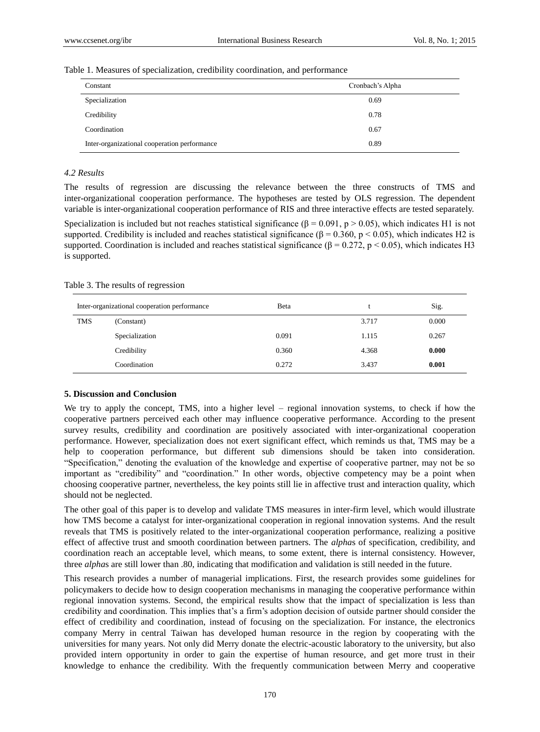| Table 1. Measures of specialization, credibility coordination, and performance |  |  |  |  |  |  |
|--------------------------------------------------------------------------------|--|--|--|--|--|--|
|--------------------------------------------------------------------------------|--|--|--|--|--|--|

| Constant                                     | Cronbach's Alpha |
|----------------------------------------------|------------------|
| Specialization                               | 0.69             |
| Credibility                                  | 0.78             |
| Coordination                                 | 0.67             |
| Inter-organizational cooperation performance | 0.89             |

### *4.2 Results*

The results of regression are discussing the relevance between the three constructs of TMS and inter-organizational cooperation performance. The hypotheses are tested by OLS regression. The dependent variable is inter-organizational cooperation performance of RIS and three interactive effects are tested separately.

Specialization is included but not reaches statistical significance ( $\beta = 0.091$ ,  $p > 0.05$ ), which indicates H1 is not supported. Credibility is included and reaches statistical significance ( $\beta$  = 0.360, p < 0.05), which indicates H2 is supported. Coordination is included and reaches statistical significance ( $\beta = 0.272$ , p < 0.05), which indicates H3 is supported.

Table 3. The results of regression

|            | Inter-organizational cooperation performance | Beta  |       | Sig.  |
|------------|----------------------------------------------|-------|-------|-------|
| <b>TMS</b> | (Constant)                                   |       | 3.717 | 0.000 |
|            | Specialization                               | 0.091 | 1.115 | 0.267 |
|            | Credibility                                  | 0.360 | 4.368 | 0.000 |
|            | Coordination                                 | 0.272 | 3.437 | 0.001 |

### **5. Discussion and Conclusion**

We try to apply the concept, TMS, into a higher level – regional innovation systems, to check if how the cooperative partners perceived each other may influence cooperative performance. According to the present survey results, credibility and coordination are positively associated with inter-organizational cooperation performance. However, specialization does not exert significant effect, which reminds us that, TMS may be a help to cooperation performance, but different sub dimensions should be taken into consideration. "Specification," denoting the evaluation of the knowledge and expertise of cooperative partner, may not be so important as "credibility" and "coordination." In other words, objective competency may be a point when choosing cooperative partner, nevertheless, the key points still lie in affective trust and interaction quality, which should not be neglected.

The other goal of this paper is to develop and validate TMS measures in inter-firm level, which would illustrate how TMS become a catalyst for inter-organizational cooperation in regional innovation systems. And the result reveals that TMS is positively related to the inter-organizational cooperation performance, realizing a positive effect of affective trust and smooth coordination between partners. The *alpha*s of specification, credibility, and coordination reach an acceptable level, which means, to some extent, there is internal consistency. However, three *alpha*s are still lower than .80, indicating that modification and validation is still needed in the future.

This research provides a number of managerial implications. First, the research provides some guidelines for policymakers to decide how to design cooperation mechanisms in managing the cooperative performance within regional innovation systems. Second, the empirical results show that the impact of specialization is less than credibility and coordination. This implies that's a firm's adoption decision of outside partner should consider the effect of credibility and coordination, instead of focusing on the specialization. For instance, the electronics company Merry in central Taiwan has developed human resource in the region by cooperating with the universities for many years. Not only did Merry donate the electric-acoustic laboratory to the university, but also provided intern opportunity in order to gain the expertise of human resource, and get more trust in their knowledge to enhance the credibility. With the frequently communication between Merry and cooperative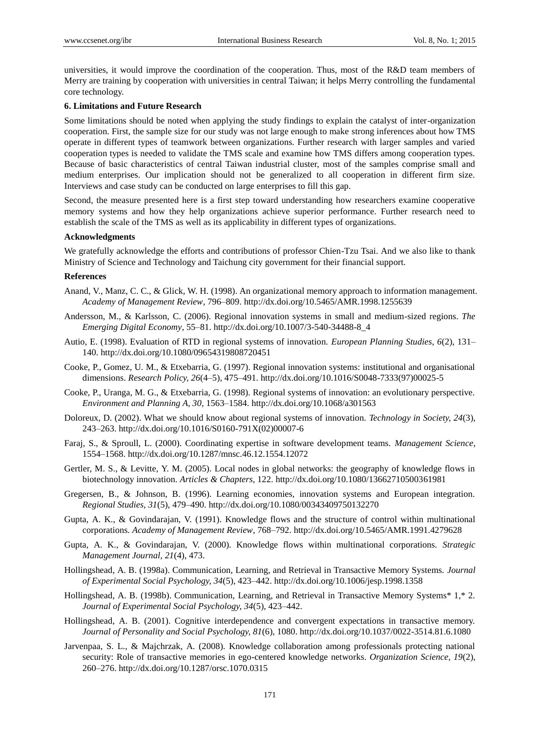universities, it would improve the coordination of the cooperation. Thus, most of the R&D team members of Merry are training by cooperation with universities in central Taiwan; it helps Merry controlling the fundamental core technology.

## **6. Limitations and Future Research**

Some limitations should be noted when applying the study findings to explain the catalyst of inter-organization cooperation. First, the sample size for our study was not large enough to make strong inferences about how TMS operate in different types of teamwork between organizations. Further research with larger samples and varied cooperation types is needed to validate the TMS scale and examine how TMS differs among cooperation types. Because of basic characteristics of central Taiwan industrial cluster, most of the samples comprise small and medium enterprises. Our implication should not be generalized to all cooperation in different firm size. Interviews and case study can be conducted on large enterprises to fill this gap.

Second, the measure presented here is a first step toward understanding how researchers examine cooperative memory systems and how they help organizations achieve superior performance. Further research need to establish the scale of the TMS as well as its applicability in different types of organizations.

#### **Acknowledgments**

We gratefully acknowledge the efforts and contributions of professor Chien-Tzu Tsai. And we also like to thank Ministry of Science and Technology and Taichung city government for their financial support.

#### **References**

- Anand, V., Manz, C. C., & Glick, W. H. (1998). An organizational memory approach to information management. *Academy of Management Review*, 796–809. http://dx.doi.org/10.5465/AMR.1998.1255639
- Andersson, M., & Karlsson, C. (2006). Regional innovation systems in small and medium-sized regions. *The Emerging Digital Economy*, 55–81. http://dx.doi.org/10.1007/3-540-34488-8\_4
- Autio, E. (1998). Evaluation of RTD in regional systems of innovation. *European Planning Studies, 6*(2), 131– 140. http://dx.doi.org/10.1080/09654319808720451
- Cooke, P., Gomez, U. M., & Etxebarria, G. (1997). Regional innovation systems: institutional and organisational dimensions. *Research Policy, 26*(4–5), 475–491. http://dx.doi.org/10.1016/S0048-7333(97)00025-5
- Cooke, P., Uranga, M. G., & Etxebarria, G. (1998). Regional systems of innovation: an evolutionary perspective. *Environment and Planning A, 30*, 1563–1584. http://dx.doi.org/10.1068/a301563
- Doloreux, D. (2002). What we should know about regional systems of innovation. *Technology in Society, 24*(3), 243–263. http://dx.doi.org/10.1016/S0160-791X(02)00007-6
- Faraj, S., & Sproull, L. (2000). Coordinating expertise in software development teams. *Management Science*, 1554–1568. http://dx.doi.org/10.1287/mnsc.46.12.1554.12072
- Gertler, M. S., & Levitte, Y. M. (2005). Local nodes in global networks: the geography of knowledge flows in biotechnology innovation. *Articles & Chapters*, 122. http://dx.doi.org/10.1080/13662710500361981
- Gregersen, B., & Johnson, B. (1996). Learning economies, innovation systems and European integration. *Regional Studies, 31*(5), 479–490. http://dx.doi.org/10.1080/00343409750132270
- Gupta, A. K., & Govindarajan, V. (1991). Knowledge flows and the structure of control within multinational corporations. *Academy of Management Review*, 768–792. http://dx.doi.org/10.5465/AMR.1991.4279628
- Gupta, A. K., & Govindarajan, V. (2000). Knowledge flows within multinational corporations. *Strategic Management Journal, 21*(4), 473.
- Hollingshead, A. B. (1998a). Communication, Learning, and Retrieval in Transactive Memory Systems. *Journal of Experimental Social Psychology, 34*(5), 423–442. http://dx.doi.org/10.1006/jesp.1998.1358
- Hollingshead, A. B. (1998b). Communication, Learning, and Retrieval in Transactive Memory Systems\* 1,\* 2. *Journal of Experimental Social Psychology, 34*(5), 423–442.
- Hollingshead, A. B. (2001). Cognitive interdependence and convergent expectations in transactive memory. *Journal of Personality and Social Psychology, 81*(6), 1080. http://dx.doi.org/10.1037/0022-3514.81.6.1080
- Jarvenpaa, S. L., & Majchrzak, A. (2008). Knowledge collaboration among professionals protecting national security: Role of transactive memories in ego-centered knowledge networks. *Organization Science, 19*(2), 260–276. http://dx.doi.org/10.1287/orsc.1070.0315